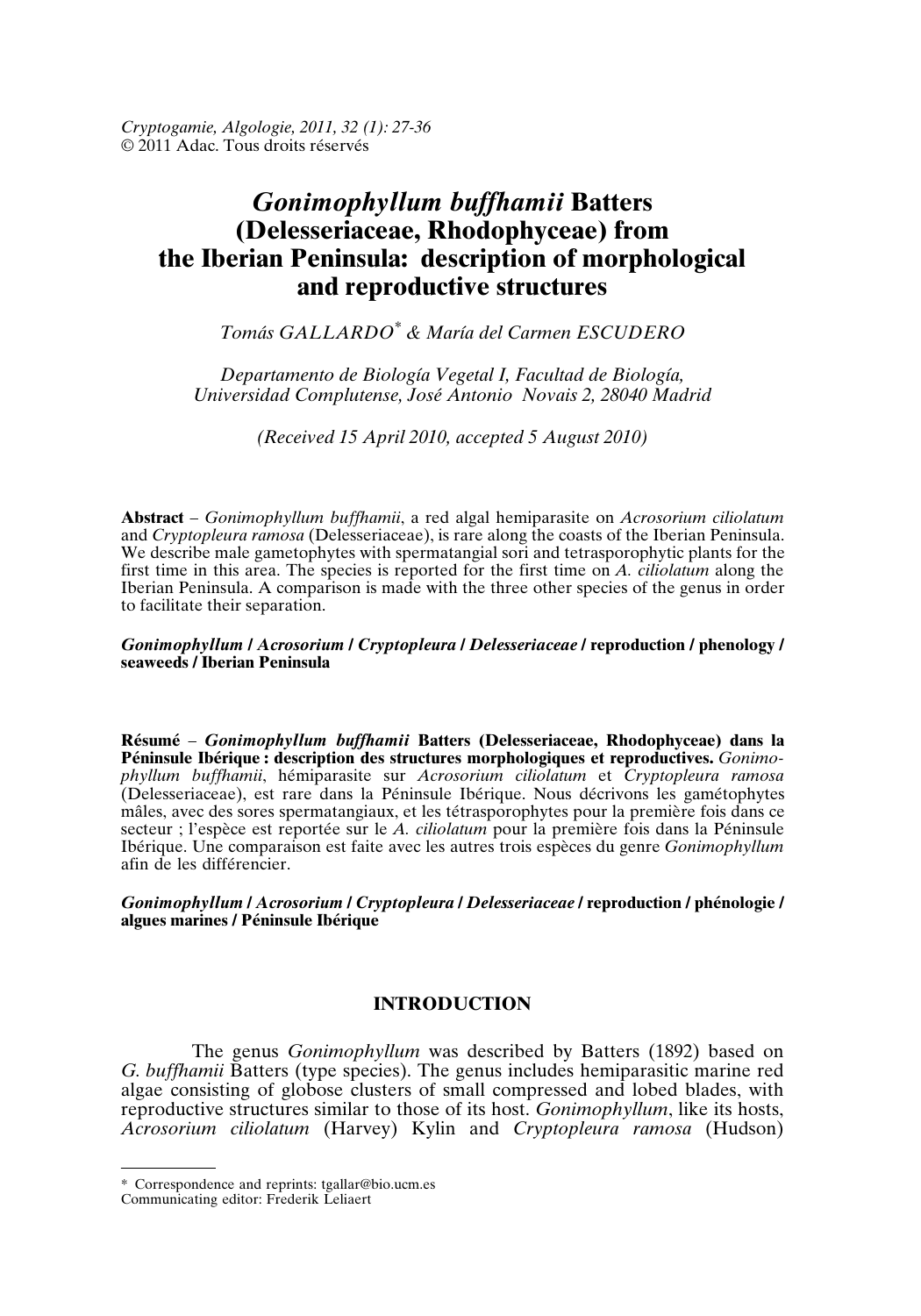*Cryptogamie, Algologie, 2011, 32 (1): 27-36* © 2011 Adac. Tous droits réservés

# *Gonimophyllum buffhamii* **Batters (Delesseriaceae, Rhodophyceae) from the Iberian Peninsula: description of morphological and reproductive structures**

*Tomás GALLARDO\* & María del Carmen ESCUDERO*

*Departamento de Biología Vegetal I, Facultad de Biología, Universidad Complutense, José Antonio Novais 2, 28040 Madrid*

*(Received 15 April 2010, accepted 5 August 2010)*

**Abstract** – *Gonimophyllum buffhamii*, a red algal hemiparasite on *Acrosorium ciliolatum* and *Cryptopleura ramosa* (Delesseriaceae), is rare along the coasts of the Iberian Peninsula. We describe male gametophytes with spermatangial sori and tetrasporophytic plants for the first time in this area. The species is reported for the first time on *A. ciliolatum* along the Iberian Peninsula. A comparison is made with the three other species of the genus in order to facilitate their separation.

#### *Gonimophyllum* **/** *Acrosorium* **/** *Cryptopleura* **/** *Delesseriaceae* **/ reproduction / phenology / seaweeds / Iberian Peninsula**

**Résumé** – *Gonimophyllum buffhamii* **Batters (Delesseriaceae, Rhodophyceae) dans la Péninsule Ibérique : description des structures morphologiques et reproductives.** *Gonimophyllum buffhamii*, hémiparasite sur *Acrosorium ciliolatum* et *Cryptopleura ramosa* (Delesseriaceae), est rare dans la Péninsule Ibérique. Nous décrivons les gamétophytes mâles, avec des sores spermatangiaux, et les tétrasporophytes pour la première fois dans ce secteur ; l'espèce est reportée sur le *A. ciliolatum* pour la première fois dans la Péninsule Ibérique. Une comparaison est faite avec les autres trois espèces du genre *Gonimophyllum* afin de les différencier.

*Gonimophyllum* **/** *Acrosorium* **/** *Cryptopleura* **/** *Delesseriaceae* **/ reproduction / phénologie / algues marines / Péninsule Ibérique**

## **INTRODUCTION**

The genus *Gonimophyllum* was described by Batters (1892) based on *G. buffhamii* Batters (type species). The genus includes hemiparasitic marine red algae consisting of globose clusters of small compressed and lobed blades, with reproductive structures similar to those of its host. *Gonimophyllum*, like its hosts, *Acrosorium ciliolatum* (Harvey) Kylin and *Cryptopleura ramosa* (Hudson)

<sup>\*</sup> Correspondence and reprints: tgallar@bio.ucm.es

Communicating editor: Frederik Leliaert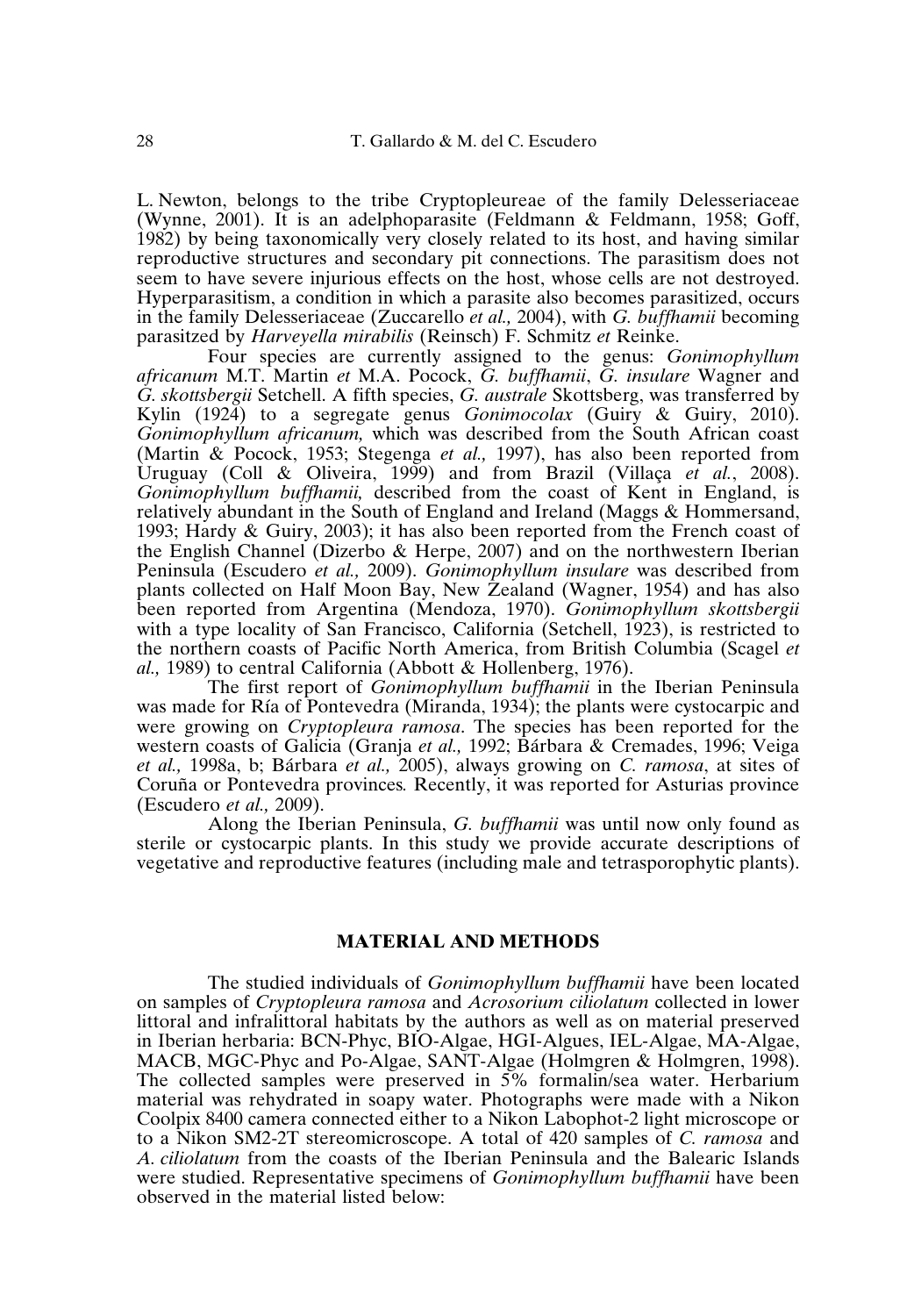L. Newton, belongs to the tribe Cryptopleureae of the family Delesseriaceae (Wynne, 2001). It is an adelphoparasite (Feldmann & Feldmann, 1958; Goff, 1982) by being taxonomically very closely related to its host, and having similar reproductive structures and secondary pit connections. The parasitism does not seem to have severe injurious effects on the host, whose cells are not destroyed. Hyperparasitism, a condition in which a parasite also becomes parasitized, occurs in the family Delesseriaceae (Zuccarello *et al.,* 2004), with *G. buffhamii* becoming parasitzed by *Harveyella mirabilis* (Reinsch) F. Schmitz *et* Reinke.

Four species are currently assigned to the genus: *Gonimophyllum africanum* M.T. Martin *et* M.A. Pocock, *G. buffhamii*, *G. insulare* Wagner and *G. skottsbergii* Setchell. A fifth species, *G. australe* Skottsberg, was transferred by Kylin (1924) to a segregate genus *Gonimocolax* (Guiry & Guiry, 2010). *Gonimophyllum africanum,* which was described from the South African coast (Martin & Pocock, 1953; Stegenga *et al.,* 1997), has also been reported from Uruguay (Coll & Oliveira, 1999) and from Brazil (Villaça *et al.*, 2008). *Gonimophyllum buffhamii,* described from the coast of Kent in England, is relatively abundant in the South of England and Ireland (Maggs & Hommersand, 1993; Hardy & Guiry, 2003); it has also been reported from the French coast of the English Channel (Dizerbo & Herpe, 2007) and on the northwestern Iberian Peninsula (Escudero *et al.,* 2009). *Gonimophyllum insulare* was described from plants collected on Half Moon Bay, New Zealand (Wagner, 1954) and has also been reported from Argentina (Mendoza, 1970). *Gonimophyllum skottsbergii* with a type locality of San Francisco, California (Setchell, 1923), is restricted to the northern coasts of Pacific North America, from British Columbia (Scagel *et al.,* 1989) to central California (Abbott & Hollenberg, 1976).

The first report of *Gonimophyllum buffhamii* in the Iberian Peninsula was made for Ría of Pontevedra (Miranda, 1934); the plants were cystocarpic and were growing on *Cryptopleura ramosa*. The species has been reported for the western coasts of Galicia (Granja *et al.,* 1992; Bárbara & Cremades, 1996; Veiga *et al.,* 1998a, b; Bárbara *et al.,* 2005), always growing on *C. ramosa*, at sites of Coruña or Pontevedra provinces*.* Recently, it was reported for Asturias province (Escudero *et al.,* 2009).

Along the Iberian Peninsula, *G. buffhamii* was until now only found as sterile or cystocarpic plants. In this study we provide accurate descriptions of vegetative and reproductive features (including male and tetrasporophytic plants).

#### **MATERIAL AND METHODS**

The studied individuals of *Gonimophyllum buffhamii* have been located on samples of *Cryptopleura ramosa* and *Acrosorium ciliolatum* collected in lower littoral and infralittoral habitats by the authors as well as on material preserved in Iberian herbaria: BCN-Phyc, BIO-Algae, HGI-Algues, IEL-Algae, MA-Algae, MACB, MGC-Phyc and Po-Algae, SANT-Algae (Holmgren & Holmgren, 1998). The collected samples were preserved in 5% formalin/sea water. Herbarium material was rehydrated in soapy water. Photographs were made with a Nikon Coolpix 8400 camera connected either to a Nikon Labophot-2 light microscope or to a Nikon SM2-2T stereomicroscope. A total of 420 samples of *C. ramosa* and *A. ciliolatum* from the coasts of the Iberian Peninsula and the Balearic Islands were studied. Representative specimens of *Gonimophyllum buffhamii* have been observed in the material listed below: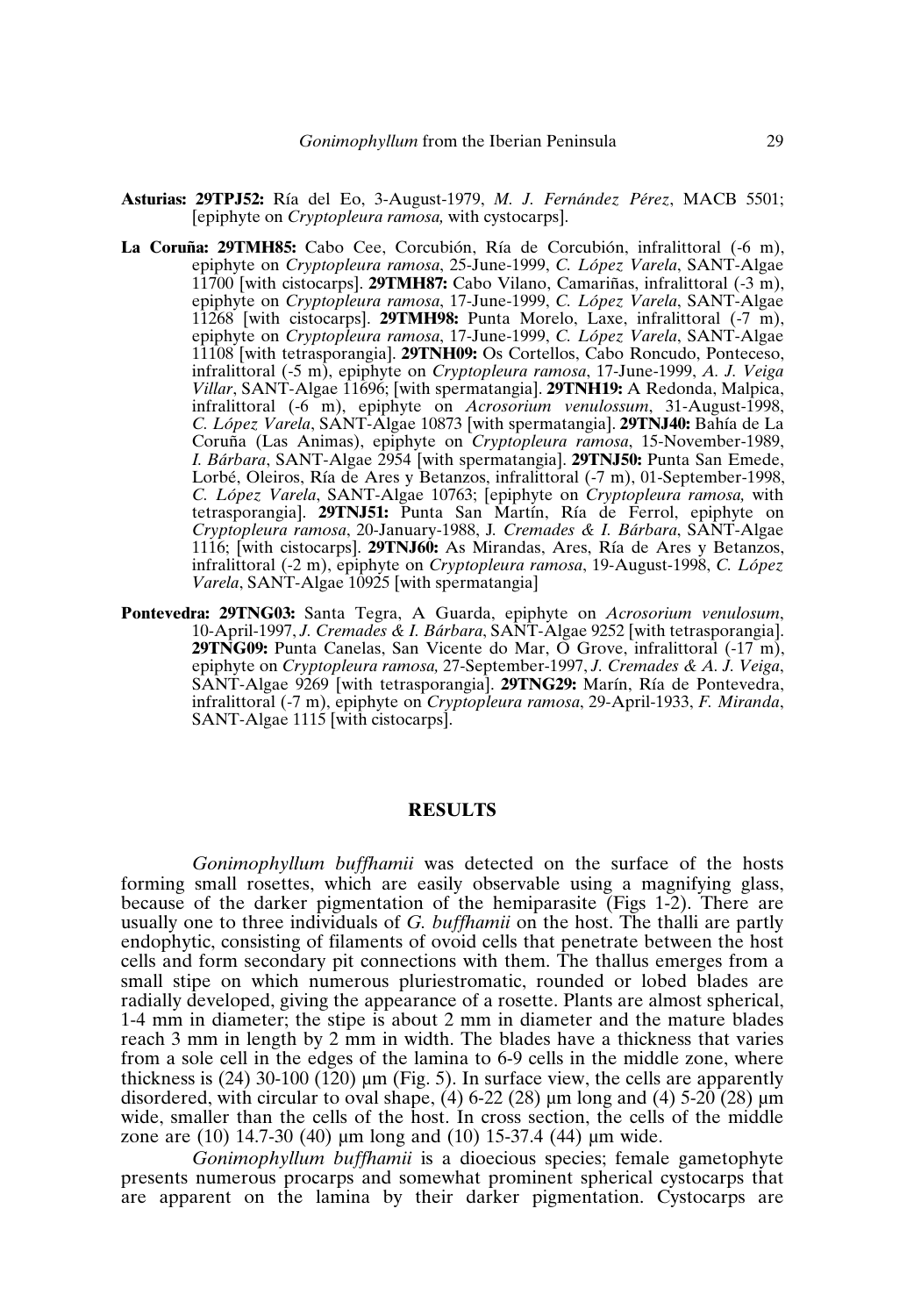- **Asturias: 29TPJ52:** Ría del Eo, 3-August-1979, *M. J. Fernández Pérez*, MACB 5501; [epiphyte on *Cryptopleura ramosa,* with cystocarps].
- **La Coruña: 29TMH85:** Cabo Cee, Corcubión, Ría de Corcubión, infralittoral (-6 m), epiphyte on *Cryptopleura ramosa*, 25-June-1999, *C. López Varela*, SANT-Algae 11700 [with cistocarps]. **29TMH87:** Cabo Vilano, Camariñas, infralittoral (-3 m), epiphyte on *Cryptopleura ramosa*, 17-June-1999, *C. López Varela*, SANT-Algae 11268 [with cistocarps]. **29TMH98:** Punta Morelo, Laxe, infralittoral (-7 m), epiphyte on *Cryptopleura ramosa*, 17-June-1999, *C. López Varela*, SANT-Algae 11108 [with tetrasporangia]. **29TNH09:** Os Cortellos, Cabo Roncudo, Ponteceso, infralittoral (-5 m), epiphyte on *Cryptopleura ramosa*, 17-June-1999, *A. J. Veiga Villar*, SANT-Algae 11696; [with spermatangia]. **29TNH19:** A Redonda, Malpica, infralittoral (-6 m), epiphyte on *Acrosorium venulossum*, 31-August-1998, *C. López Varela*, SANT-Algae 10873 [with spermatangia]. **29TNJ40:** Bahía de La Coruña (Las Animas), epiphyte on *Cryptopleura ramosa*, 15-November-1989, *I. Bárbara*, SANT-Algae 2954 [with spermatangia]. **29TNJ50:** Punta San Emede, Lorbé, Oleiros, Ría de Ares y Betanzos, infralittoral (-7 m), 01-September-1998, *C. López Varela*, SANT-Algae 10763; [epiphyte on *Cryptopleura ramosa,* with tetrasporangia]. **29TNJ51:** Punta San Martín, Ría de Ferrol, epiphyte on *Cryptopleura ramosa*, 20-January-1988, J*. Cremades & I. Bárbara*, SANT-Algae 1116; [with cistocarps]. **29TNJ60:** As Mirandas, Ares, Ría de Ares y Betanzos, infralittoral (-2 m), epiphyte on *Cryptopleura ramosa*, 19-August-1998, *C. López Varela*, SANT-Algae 10925 [with spermatangia]
- **Pontevedra: 29TNG03:** Santa Tegra, A Guarda, epiphyte on *Acrosorium venulosum*, 10-April-1997, *J. Cremades & I. Bárbara*, SANT-Algae 9252 [with tetrasporangia]. **29TNG09:** Punta Canelas, San Vicente do Mar, O Grove, infralittoral (-17 m), epiphyte on *Cryptopleura ramosa,* 27-September-1997, *J. Cremades & A. J. Veiga*, SANT-Algae 9269 [with tetrasporangia]. **29TNG29:** Marín, Ría de Pontevedra, infralittoral (-7 m), epiphyte on *Cryptopleura ramosa*, 29-April-1933, *F. Miranda*, SANT-Algae 1115 [with cistocarps].

#### **RESULTS**

*Gonimophyllum buffhamii* was detected on the surface of the hosts forming small rosettes, which are easily observable using a magnifying glass, because of the darker pigmentation of the hemiparasite (Figs 1-2). There are usually one to three individuals of *G. buffhamii* on the host. The thalli are partly endophytic, consisting of filaments of ovoid cells that penetrate between the host cells and form secondary pit connections with them. The thallus emerges from a small stipe on which numerous pluriestromatic, rounded or lobed blades are radially developed, giving the appearance of a rosette. Plants are almost spherical, 1-4 mm in diameter; the stipe is about 2 mm in diameter and the mature blades reach 3 mm in length by 2 mm in width. The blades have a thickness that varies from a sole cell in the edges of the lamina to 6-9 cells in the middle zone, where thickness is (24) 30-100 (120) µm (Fig. 5). In surface view, the cells are apparently disordered, with circular to oval shape, (4) 6-22 (28)  $\mu$ m long and (4) 5-20 (28)  $\mu$ m wide, smaller than the cells of the host. In cross section, the cells of the middle zone are (10) 14.7-30 (40) µm long and (10) 15-37.4 (44) µm wide.

*Gonimophyllum buffhamii* is a dioecious species; female gametophyte presents numerous procarps and somewhat prominent spherical cystocarps that are apparent on the lamina by their darker pigmentation. Cystocarps are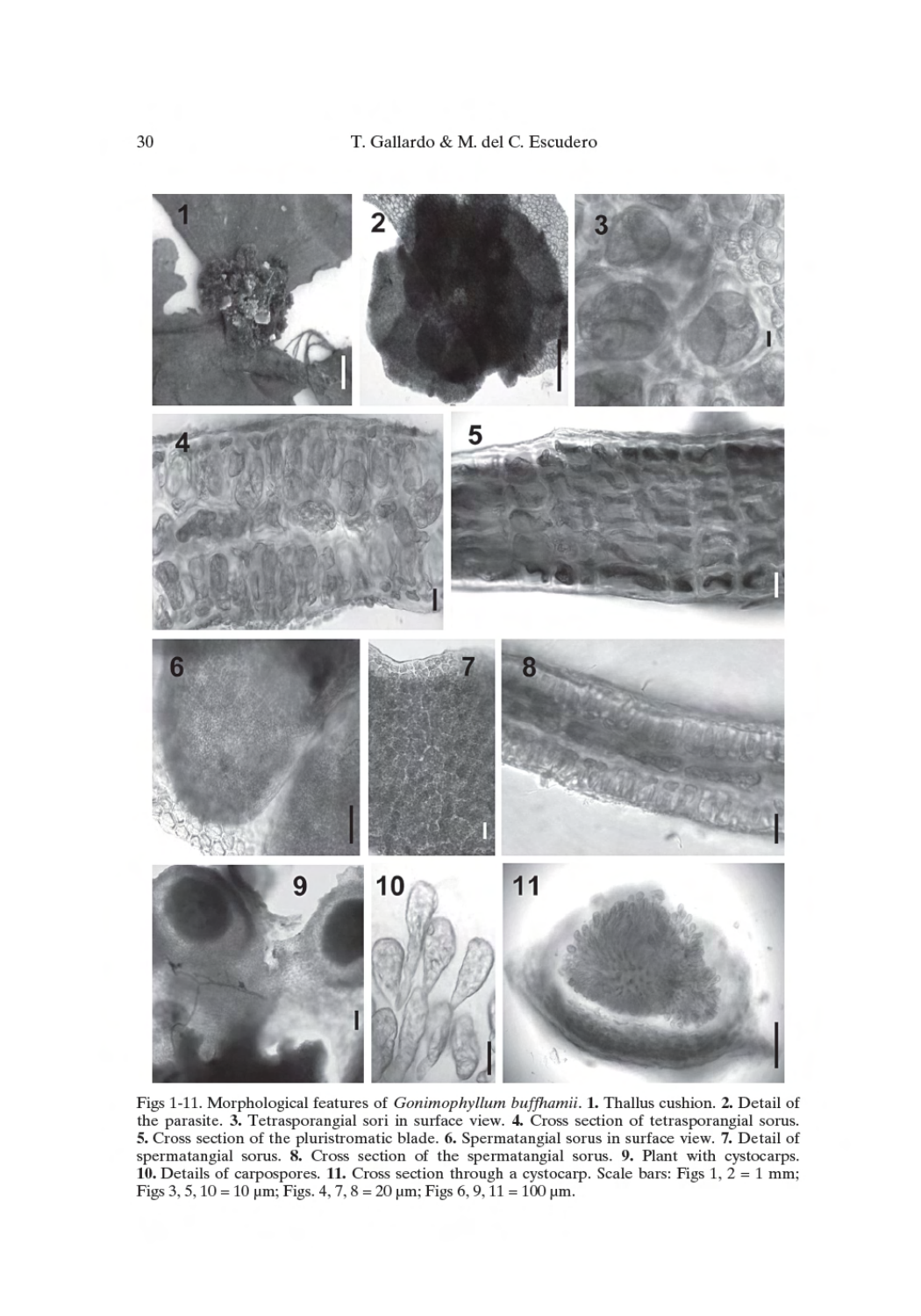

Figs 1-11. Morphological features of Gonimophyllum buffhamii. 1. Thallus cushion. 2. Detail of the parasite. 3. Tetrasporangial sori in surface view. 4. Cross section of tetrasporangial sorus. 5. Cross section of the pluristromatic blade. 6. Spermatangial sorus in surface view. 7. Detail of spermatangial sorus. 8. Cross section of the spermatangial sorus. 9. Plant with cystocarps. 10. Details of carpospores. 11. Cross section through a cystocarp. Scale bars: Figs 1,  $2 = 1$  mm; Figs 3, 5, 10 = 10 µm; Figs. 4, 7, 8 = 20 µm; Figs 6, 9, 11 = 100 µm.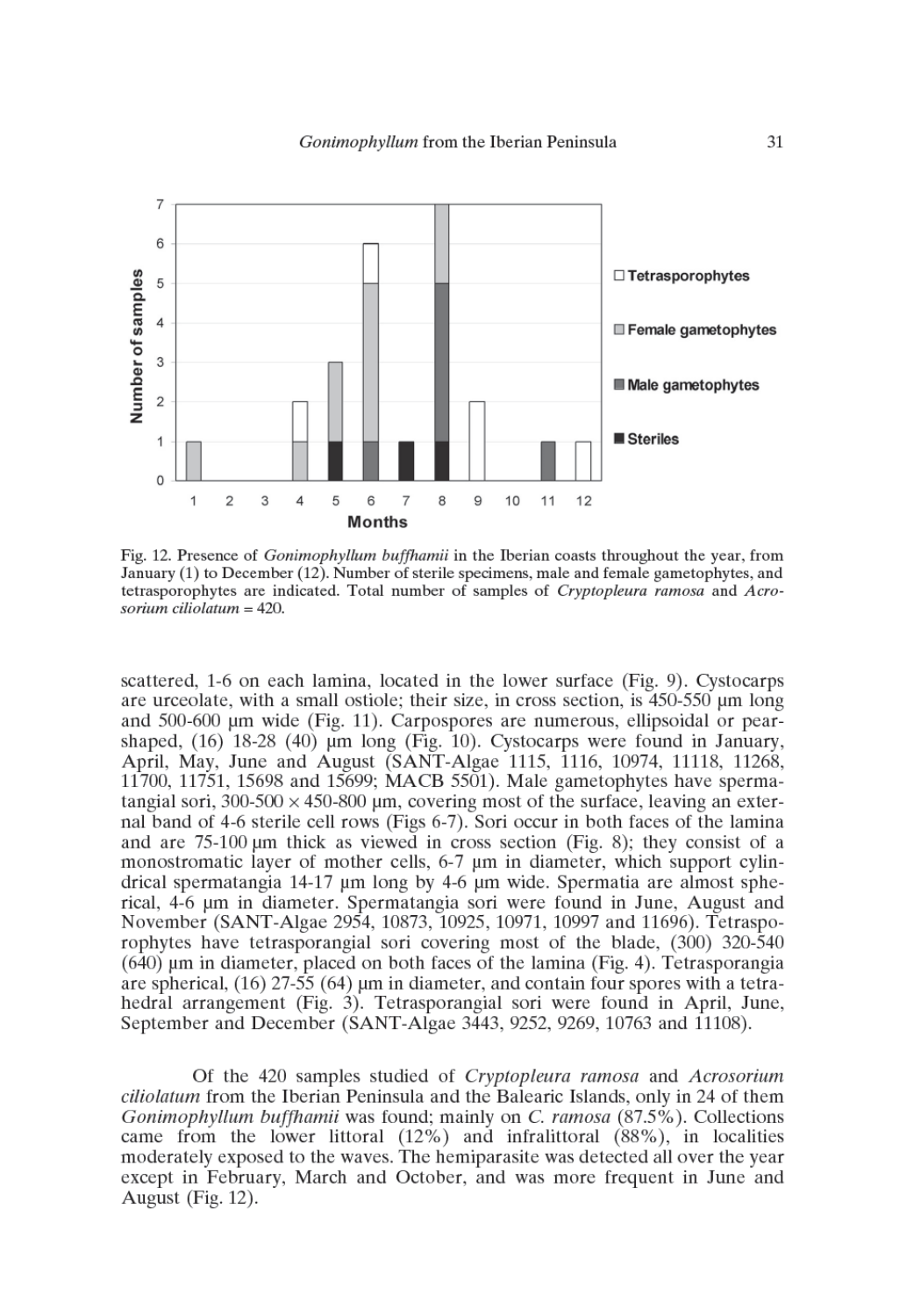

Fig. 12. Presence of *Gonimophyllum buffhamii* in the Iberian coasts throughout the year, from January (1) to December (12). Number of sterile specimens, male and female gametophytes, and tetrasporophytes are indicated. Total number of samples of Cryptopleura ramosa and Acrosorium ciliolatum = 420.

scattered, 1-6 on each lamina, located in the lower surface (Fig. 9). Cystocarps are urceolate, with a small ostiole; their size, in cross section, is 450-550 µm long and 500-600 µm wide (Fig. 11). Carpospores are numerous, ellipsoidal or pearshaped,  $(16)$  18-28  $(40)$  µm long (Fig. 10). Cystocarps were found in January, April, May, June and August (SANT-Algae 1115, 1116, 10974, 11118, 11268, 11700, 11751, 15698 and 15699; MACB 5501). Male gametophytes have spermatangial sori,  $300-500 \times 450-800$  µm, covering most of the surface, leaving an external band of 4-6 sterile cell rows (Figs 6-7). Sori occur in both faces of the lamina and are 75-100 µm thick as viewed in cross section (Fig. 8); they consist of a monostromatic layer of mother cells, 6-7 µm in diameter, which support cylindrical spermatangia 14-17 µm long by 4-6 µm wide. Spermatia are almost spherical, 4-6 um in diameter. Spermatangia sori were found in June, August and November (SANT-Algae 2954, 10873, 10925, 10971, 10997 and 11696). Tetrasporophytes have tetrasporangial sori covering most of the blade, (300) 320-540  $(640)$  µm in diameter, placed on both faces of the lamina (Fig. 4). Tetrasporangia are spherical,  $(16)$  27-55  $(64)$  µm in diameter, and contain four spores with a tetrahedral arrangement (Fig. 3). Tetrasporangial sori were found in April, June, September and December (SANT-Algae 3443, 9252, 9269, 10763 and 11108).

Of the 420 samples studied of Cryptopleura ramosa and Acrosorium *ciliolatum* from the Iberian Peninsula and the Balearic Islands, only in 24 of them Gonimophyllum buffhamii was found; mainly on C. ramosa (87.5%). Collections came from the lower littoral  $(12%)$  and infralittoral  $(88%)$ , in localities moderately exposed to the waves. The hemiparasite was detected all over the year except in February, March and October, and was more frequent in June and August (Fig. 12).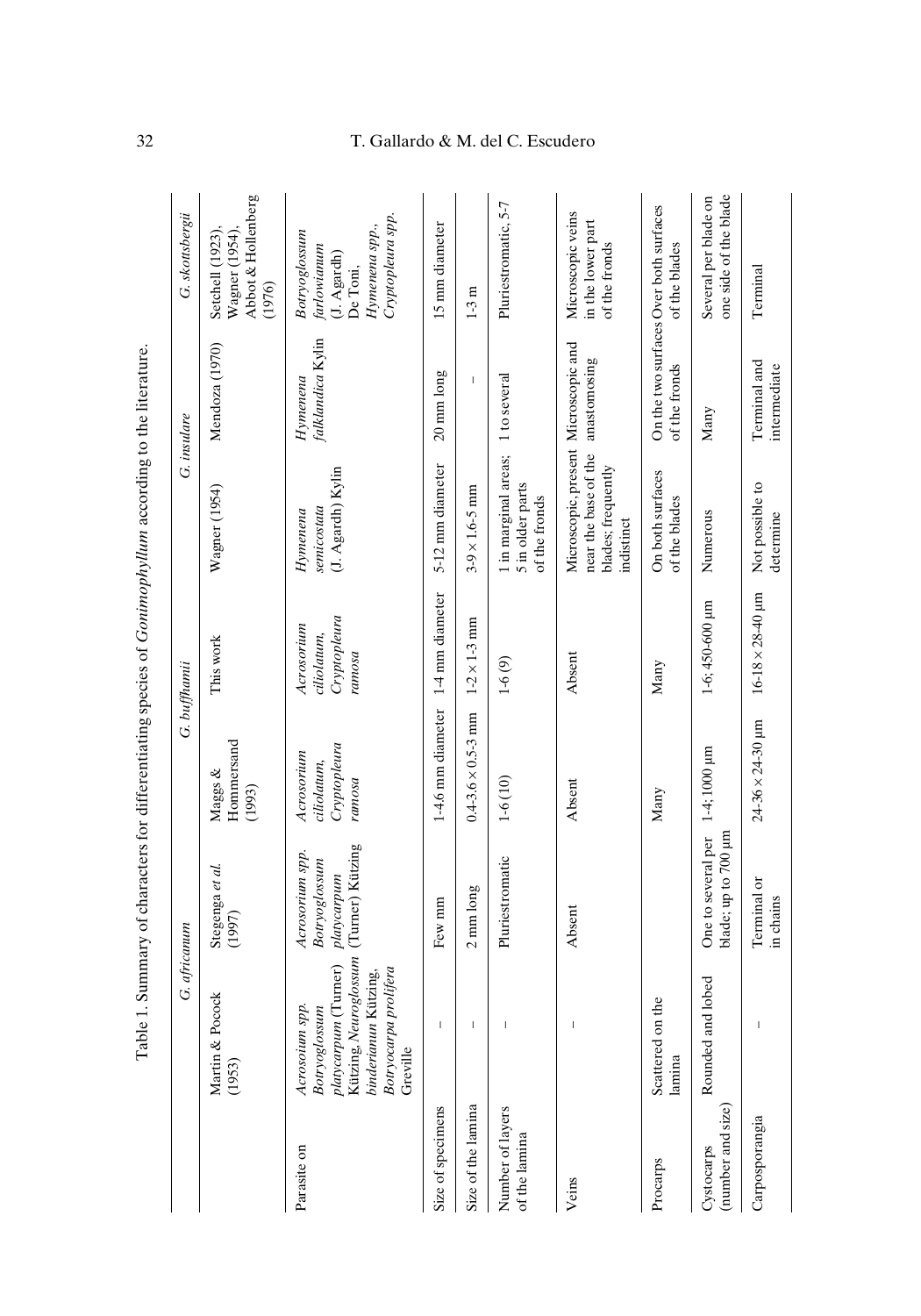|                                   | G. africanum                                                                                                                                  |                                                                     |                                                     | G. buffhamii                                        | Table 1. Summary of characters for differentiating species of <i>Gonimophyllum</i> according to the literature. | G. insulare                           | G. skottsbergii                                                                                     |
|-----------------------------------|-----------------------------------------------------------------------------------------------------------------------------------------------|---------------------------------------------------------------------|-----------------------------------------------------|-----------------------------------------------------|-----------------------------------------------------------------------------------------------------------------|---------------------------------------|-----------------------------------------------------------------------------------------------------|
|                                   | Martin & Pocock<br>(1953)                                                                                                                     | Stegenga et al.<br>(1997)                                           | Hommersand<br>Maggs &<br>(1993)                     | This work                                           | Wagner (1954)                                                                                                   | Mendoza (1970)                        | Abbot & Hollenberg<br>Setchell (1923),<br>Wagner (1954)<br>(1976)                                   |
| Parasite on                       | Kützing, Neuroglossum<br>platycarpum (Turner)<br>Botryocarpa prolifera<br>binderianun Kützing,<br>Acrosoium spp.<br>Botryoglossum<br>Greville | (Turner) Kützing<br>Acrosorium spp.<br>Botryoglossum<br>platycarpum | Cryptopleura<br>Acrosorium<br>ciliolatum,<br>ramosa | Cryptopleura<br>Acrosorium<br>ciliolatum,<br>ramosa | (J. Agardh) Kylin<br>senicostata<br>Hymenena                                                                    | falklandica Kylin<br>Hymenena         | Cryptopleura spp.<br>Hymenena spp.,<br>Botryoglossum<br>farlowianum<br>$(J.$ Agardh $)$<br>De Toni, |
| Size of specimens                 | Ī                                                                                                                                             | Few mm                                                              | 14.6 mm diameter                                    | 1-4 mm diameter                                     | 5-12 mm diameter                                                                                                | 20 mm long                            | 15 mm diameter                                                                                      |
| Size of the lamina                | $\mathsf I$                                                                                                                                   | 2 mm long                                                           | $0.4 - 3.6 \times 0.5 - 3$ mm                       | $1 - 2 \times 1 - 3$ mm                             | $3-9 \times 1.6 - 5$ mm                                                                                         | $\begin{array}{c} \hline \end{array}$ | $1-3m$                                                                                              |
| Number of layers<br>of the lamina | $\begin{array}{c} \end{array}$                                                                                                                | Pluriestromatic                                                     | $1-6(10)$                                           | $1-6(9)$                                            | 1 in marginal areas;<br>5 in older parts<br>of the fronds                                                       | 1 to several                          | Pluriestromatic, 5-7                                                                                |
| Veins                             | $\overline{1}$                                                                                                                                | Absent                                                              | Absent                                              | Absent                                              | Microscopic, present Microscopic and<br>near the base of the<br>blades; frequently<br>indistinct                | anastomosing                          | Microscopic veins<br>in the lower part<br>of the fronds                                             |
| Procarps                          | Scattered on the<br>lamina                                                                                                                    |                                                                     | Many                                                | Many                                                | On both surfaces<br>of the blades                                                                               | of the fronds                         | On the two surfaces Over both surfaces<br>of the blades                                             |
| (number and size)<br>Cystocarps   | lobed<br>Rounded and                                                                                                                          | blade; up to 700 µm<br>One to several per                           | 1-4; 1000 µm                                        | 1-6; 450-600 µm                                     | Numerous                                                                                                        | Many                                  | one side of the blade<br>Several per blade on                                                       |
| Carposporangia                    | $\begin{array}{c} \hline \end{array}$                                                                                                         | Terminal or<br>in chains                                            | $24-36 \times 24-30$ µm                             | $16 - 18 \times 28 - 40$ µm                         | Not possible to<br>determine                                                                                    | Terminal and<br>intermediate          | Terminal                                                                                            |

# 32 T. Gallardo & M. del C. Escudero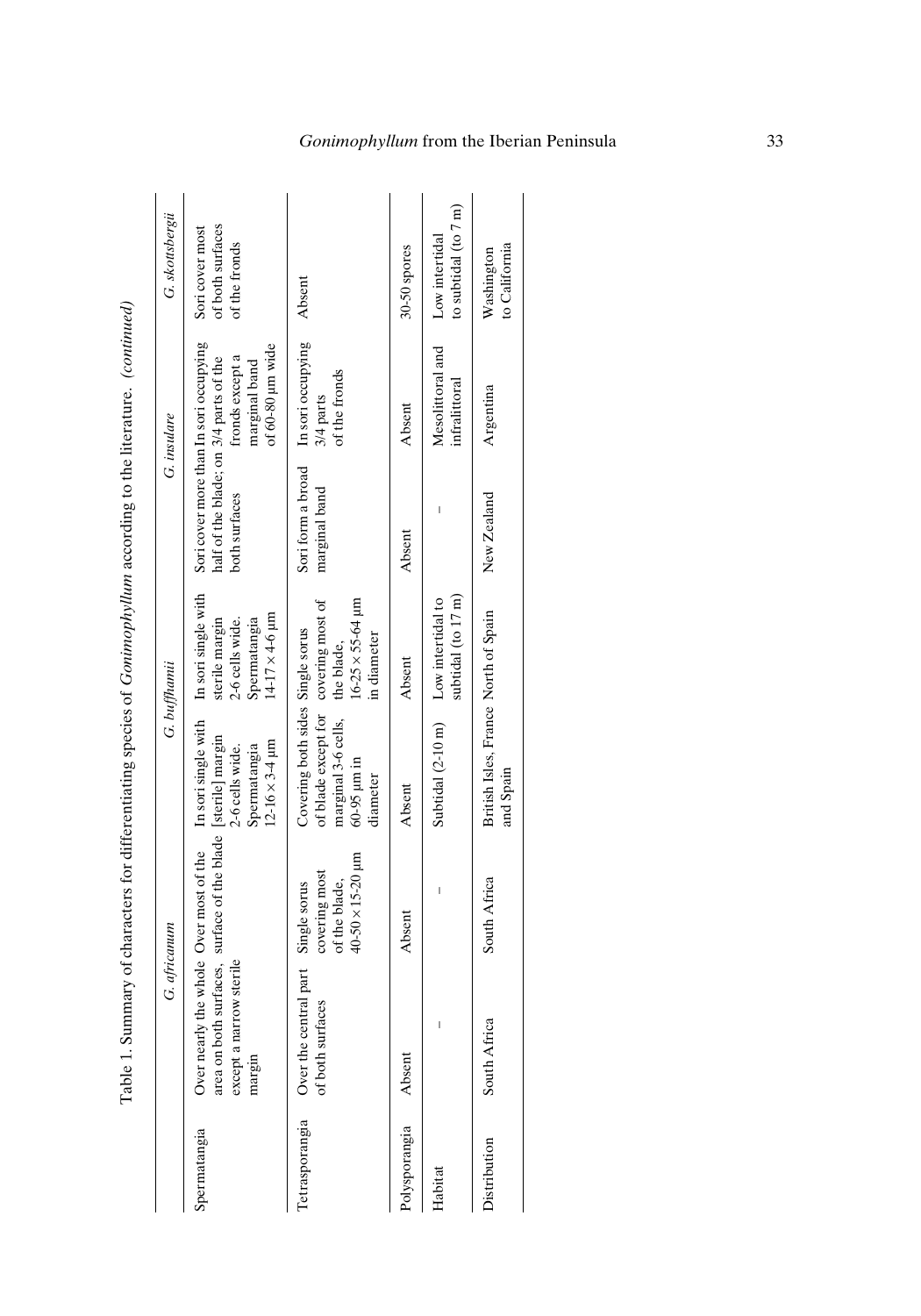|                |                                                                        | G. africanum                                                                                      |                                                                                                                            | G. buffhamü                                                                                                        |                                                                                                   | G. insulare                                          | G. skottsbergii                                          |
|----------------|------------------------------------------------------------------------|---------------------------------------------------------------------------------------------------|----------------------------------------------------------------------------------------------------------------------------|--------------------------------------------------------------------------------------------------------------------|---------------------------------------------------------------------------------------------------|------------------------------------------------------|----------------------------------------------------------|
| Spermatangia   | ow sterile<br>except a narr<br>Over nearly t<br>area on both<br>margin | the whole Over most of the In sori single with<br>surfaces, surface of the blade [sterile] margin | $12 - 16 \times 3 - 4 \text{ }\mu\text{m}$<br>Spermatangia<br>2-6 cells wide.                                              | In sori single with<br>$14-17 \times 4-6 \text{ }\mu\text{m}$<br>Spermatangia<br>sterile margin<br>2-6 cells wide. | Sori cover more than In sori occupying<br>half of the blade; on 3/4 parts of the<br>both surfaces | of 60-80 µm wide<br>fronds except a<br>marginal band | of both surfaces<br>Sori cover most<br>of the fronds     |
| Tetrasporangia | Over the central part Single sorus<br>of both surfaces                 | $40-50 \times 15-20$ µm<br>covering most<br>of the blade,                                         | of blade except for covering most of<br>Covering both sides Single sorus<br>marginal 3-6 cells,<br>60-95 µm in<br>diameter | $16 - 25 \times 55 - 64 \mu m$<br>in diameter<br>the blade,                                                        | Sori form a broad In sori occupying<br>marginal band                                              | of the fronds<br>3/4 parts                           | Absent                                                   |
| Polysporangia  | Absent                                                                 | Absent                                                                                            | Absent                                                                                                                     | Absent                                                                                                             | Absent                                                                                            | Absent                                               | 30-50 spores                                             |
| Habitat        |                                                                        |                                                                                                   | Subtidal (2-10 m) Low intertidal to                                                                                        | subtidal (to $17 \text{ m}$ )                                                                                      |                                                                                                   | Mesolittoral and<br>infralittoral                    | to subtidal $(\text{to } 7 \text{ m})$<br>Low intertidal |
| Distribution   | South Africa                                                           | South Africa                                                                                      | British Isles, France North of Spain<br>and Spain                                                                          |                                                                                                                    | New Zealand                                                                                       | Argentina                                            | to California<br>Washington                              |

Table 1. Summary of characters for differentiating species of Gonimophyllum according to the literature. (continued) Table 1. Summary of characters for differentiating species of *Gonimophyllum* according to the literature. *(continued)*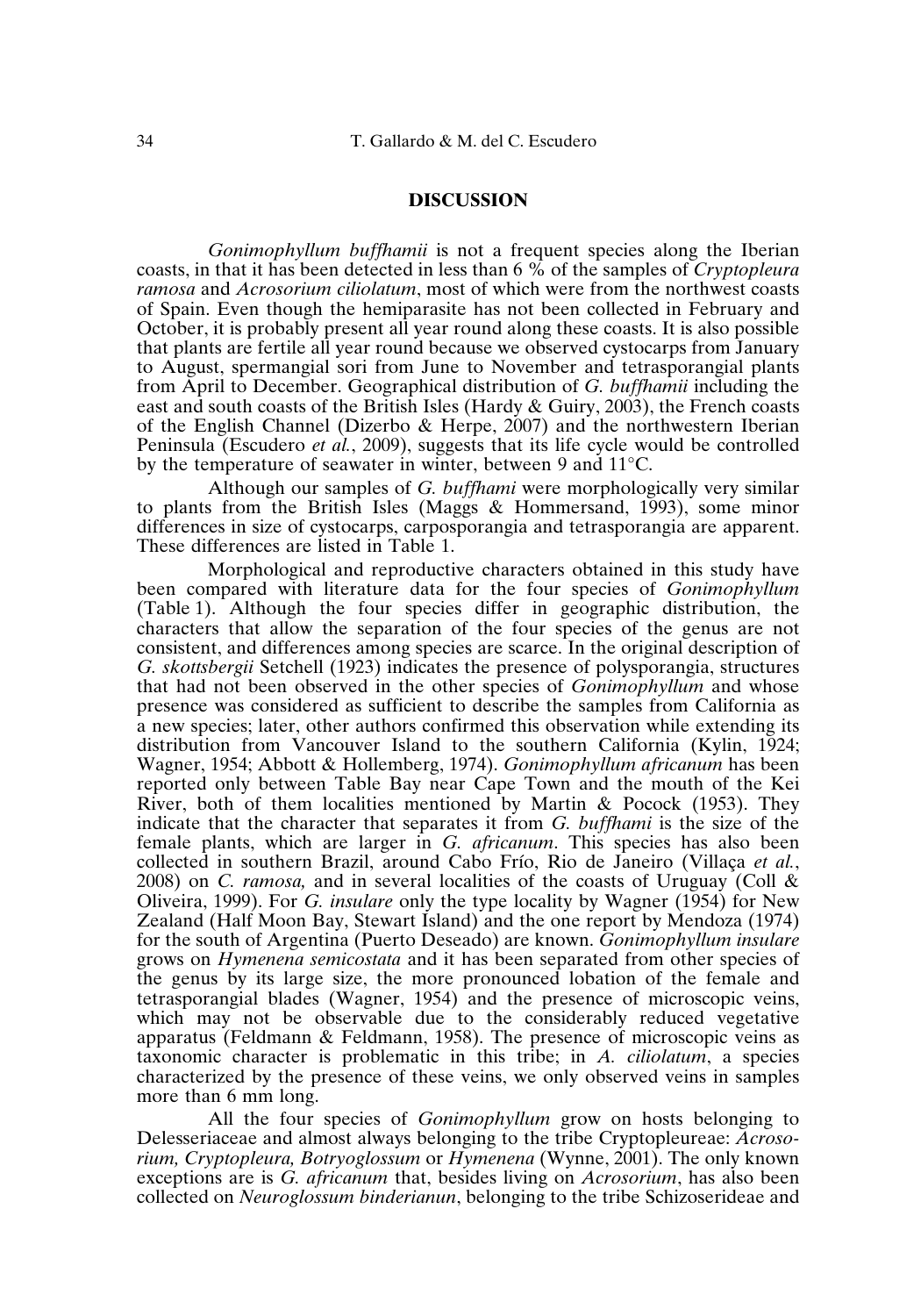### **DISCUSSION**

*Gonimophyllum buffhamii* is not a frequent species along the Iberian coasts, in that it has been detected in less than 6 % of the samples of *Cryptopleura ramosa* and *Acrosorium ciliolatum*, most of which were from the northwest coasts of Spain. Even though the hemiparasite has not been collected in February and October, it is probably present all year round along these coasts. It is also possible that plants are fertile all year round because we observed cystocarps from January to August, spermangial sori from June to November and tetrasporangial plants from April to December. Geographical distribution of *G. buffhamii* including the east and south coasts of the British Isles (Hardy & Guiry, 2003), the French coasts of the English Channel (Dizerbo & Herpe, 2007) and the northwestern Iberian Peninsula (Escudero *et al.*, 2009), suggests that its life cycle would be controlled by the temperature of seawater in winter, between 9 and 11°C.

Although our samples of *G. buffhami* were morphologically very similar to plants from the British Isles (Maggs & Hommersand, 1993), some minor differences in size of cystocarps, carposporangia and tetrasporangia are apparent. These differences are listed in Table 1.

Morphological and reproductive characters obtained in this study have been compared with literature data for the four species of *Gonimophyllum* (Table 1). Although the four species differ in geographic distribution, the characters that allow the separation of the four species of the genus are not consistent, and differences among species are scarce. In the original description of *G. skottsbergii* Setchell (1923) indicates the presence of polysporangia, structures that had not been observed in the other species of *Gonimophyllum* and whose presence was considered as sufficient to describe the samples from California as a new species; later, other authors confirmed this observation while extending its distribution from Vancouver Island to the southern California (Kylin, 1924; Wagner, 1954; Abbott & Hollemberg, 1974). *Gonimophyllum africanum* has been reported only between Table Bay near Cape Town and the mouth of the Kei River, both of them localities mentioned by Martin & Pocock (1953). They indicate that the character that separates it from *G. buffhami* is the size of the female plants, which are larger in *G. africanum*. This species has also been collected in southern Brazil, around Cabo Frío, Rio de Janeiro (Villaça *et al.*, 2008) on *C. ramosa,* and in several localities of the coasts of Uruguay (Coll & Oliveira, 1999). For *G. insulare* only the type locality by Wagner (1954) for New Zealand (Half Moon Bay, Stewart Island) and the one report by Mendoza (1974) for the south of Argentina (Puerto Deseado) are known. *Gonimophyllum insulare* grows on *Hymenena semicostata* and it has been separated from other species of the genus by its large size, the more pronounced lobation of the female and tetrasporangial blades (Wagner, 1954) and the presence of microscopic veins, which may not be observable due to the considerably reduced vegetative apparatus (Feldmann & Feldmann, 1958). The presence of microscopic veins as taxonomic character is problematic in this tribe; in *A. ciliolatum*, a species characterized by the presence of these veins, we only observed veins in samples more than 6 mm long.

All the four species of *Gonimophyllum* grow on hosts belonging to Delesseriaceae and almost always belonging to the tribe Cryptopleureae: *Acrosorium, Cryptopleura, Botryoglossum* or *Hymenena* (Wynne, 2001). The only known exceptions are is *G. africanum* that, besides living on *Acrosorium*, has also been collected on *Neuroglossum binderianun*, belonging to the tribe Schizoserideae and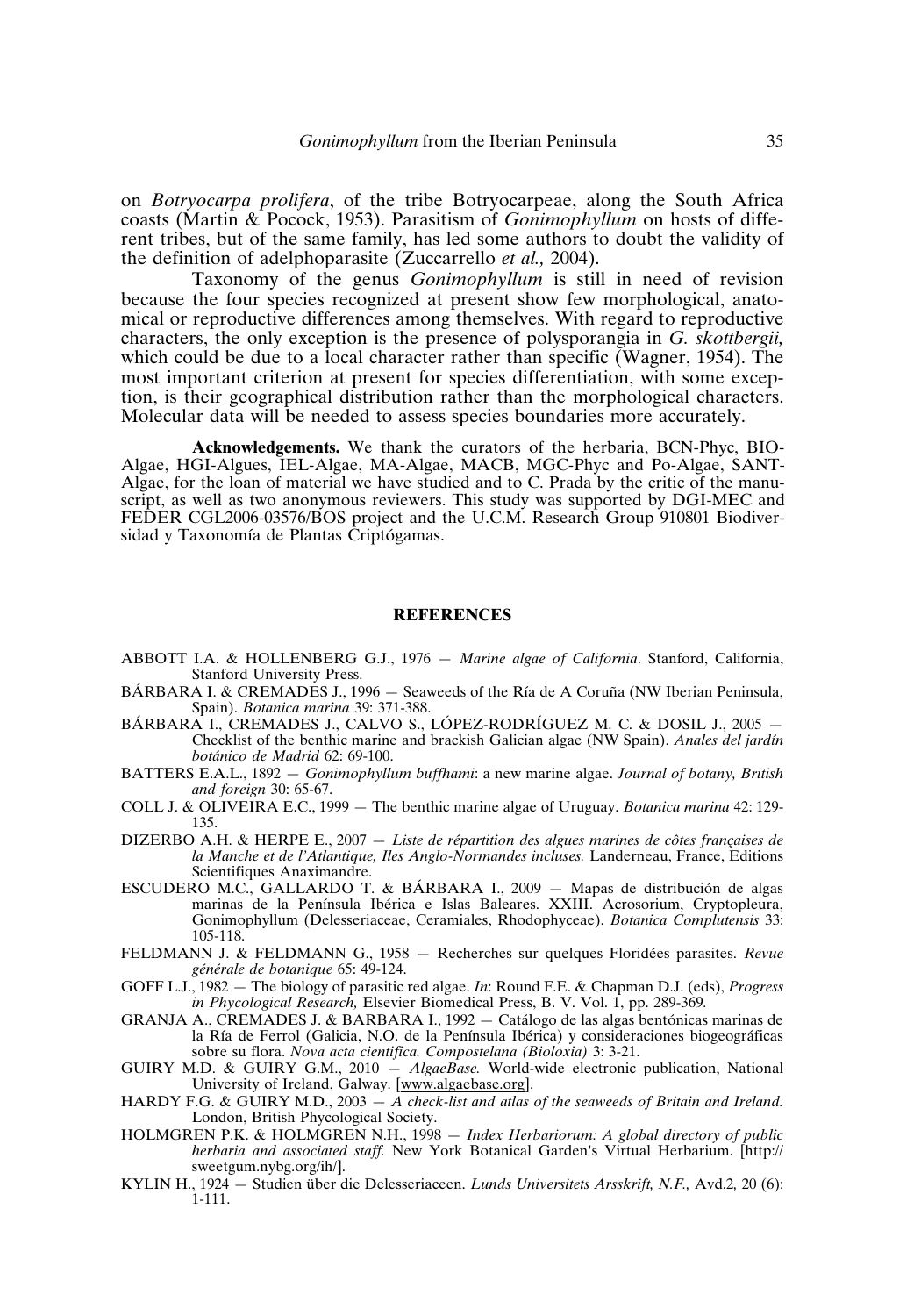on *Botryocarpa prolifera*, of the tribe Botryocarpeae, along the South Africa coasts (Martin & Pocock, 1953). Parasitism of *Gonimophyllum* on hosts of different tribes, but of the same family, has led some authors to doubt the validity of the definition of adelphoparasite (Zuccarrello *et al.,* 2004).

Taxonomy of the genus *Gonimophyllum* is still in need of revision because the four species recognized at present show few morphological, anatomical or reproductive differences among themselves. With regard to reproductive characters, the only exception is the presence of polysporangia in *G. skottbergii,* which could be due to a local character rather than specific (Wagner, 1954). The most important criterion at present for species differentiation, with some exception, is their geographical distribution rather than the morphological characters. Molecular data will be needed to assess species boundaries more accurately.

**Acknowledgements.** We thank the curators of the herbaria, BCN-Phyc, BIO-Algae, HGI-Algues, IEL-Algae, MA-Algae, MACB, MGC-Phyc and Po-Algae, SANT-Algae, for the loan of material we have studied and to C. Prada by the critic of the manuscript, as well as two anonymous reviewers. This study was supported by DGI-MEC and FEDER CGL2006-03576/BOS project and the U.C.M. Research Group 910801 Biodiversidad y Taxonomía de Plantas Criptógamas.

#### **REFERENCES**

- ABBOTT I.A. & HOLLENBERG G.J., 1976 *Marine algae of California*. Stanford, California, Stanford University Press.
- BÁRBARA I. & CREMADES J., 1996 Seaweeds of the Ría de A Coruña (NW Iberian Peninsula, Spain). *Botanica marina* 39: 371-388.
- BÁRBARA I., CREMADES J., CALVO S., LÓPEZ-RODRÍGUEZ M. C. & DOSIL J., 2005 Checklist of the benthic marine and brackish Galician algae (NW Spain). *Anales del jardín botánico de Madrid* 62: 69-100.
- BATTERS E.A.L., 1892 *Gonimophyllum buffhami*: a new marine algae. *Journal of botany, British and foreign* 30: 65-67.
- COLL J. & OLIVEIRA E.C., 1999 The benthic marine algae of Uruguay. *Botanica marina* 42: 129- 135.
- DIZERBO A.H. & HERPE E., 2007 *Liste de répartition des algues marines de côtes françaises de la Manche et de l'Atlantique, Iles Anglo-Normandes incluses.* Landerneau, France, Editions Scientifiques Anaximandre.
- ESCUDERO M.C., GALLARDO T. & BÁRBARA I., 2009 Mapas de distribución de algas marinas de la Península Ibérica e Islas Baleares. XXIII. Acrosorium, Cryptopleura, Gonimophyllum (Delesseriaceae, Ceramiales, Rhodophyceae). *Botanica Complutensis* 33: 105-118.
- FELDMANN J. & FELDMANN G., 1958 Recherches sur quelques Floridées parasites. *Revue générale de botanique* 65: 49-124.
- GOFF L.J., 1982 The biology of parasitic red algae. *In*: Round F.E. & Chapman D.J. (eds), *Progress in Phycological Research,* Elsevier Biomedical Press, B. V. Vol. 1, pp. 289-369*.*
- GRANJA A., CREMADES J. & BARBARA I., 1992 Catálogo de las algas bentónicas marinas de la Ría de Ferrol (Galicia, N.O. de la Península Ibérica) y consideraciones biogeográficas sobre su flora. *Nova acta cientifica. Compostelana (Bioloxia)* 3: 3-21.
- GUIRY M.D. & GUIRY G.M., 2010 *AlgaeBase.* World-wide electronic publication, National University of Ireland, Galway. [www.algaebase.org].
- HARDY F.G. & GUIRY M.D., 2003 *A check-list and atlas of the seaweeds of Britain and Ireland.* London, British Phycological Society.
- HOLMGREN P.K. & HOLMGREN N.H., 1998 *Index Herbariorum: A global directory of public herbaria and associated staff.* New York Botanical Garden's Virtual Herbarium. [http:// sweetgum.nybg.org/ih/].
- KYLIN H., 1924 Studien über die Delesseriaceen. *Lunds Universitets Arsskrift, N.F.,* Avd.2*,* 20 (6): 1-111.